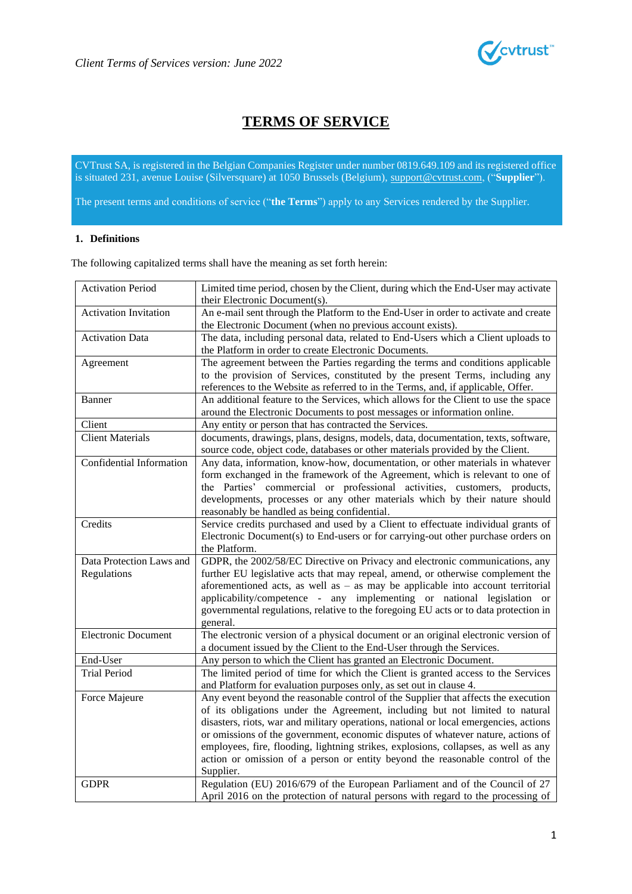

# **TERMS OF SERVICE**

CVTrust SA, is registered in the Belgian Companies Register under number 0819.649.109 and its registered office is situated 231, avenue Louise (Silversquare) at 1050 Brussels (Belgium), suppor[t@cvtrust.com,](mailto:info@cvtrust.com) ("**Supplier**").

The present terms and conditions of service ("**the Terms**") apply to any Services rendered by the Supplier.

### **1. Definitions**

The following capitalized terms shall have the meaning as set forth herein:

| <b>Activation Period</b>     | Limited time period, chosen by the Client, during which the End-User may activate     |  |  |  |  |
|------------------------------|---------------------------------------------------------------------------------------|--|--|--|--|
|                              | their Electronic Document(s).                                                         |  |  |  |  |
| <b>Activation Invitation</b> | An e-mail sent through the Platform to the End-User in order to activate and create   |  |  |  |  |
|                              | the Electronic Document (when no previous account exists).                            |  |  |  |  |
| <b>Activation Data</b>       | The data, including personal data, related to End-Users which a Client uploads to     |  |  |  |  |
|                              | the Platform in order to create Electronic Documents.                                 |  |  |  |  |
| Agreement                    | The agreement between the Parties regarding the terms and conditions applicable       |  |  |  |  |
|                              | to the provision of Services, constituted by the present Terms, including any         |  |  |  |  |
|                              | references to the Website as referred to in the Terms, and, if applicable, Offer.     |  |  |  |  |
| Banner                       | An additional feature to the Services, which allows for the Client to use the space   |  |  |  |  |
|                              | around the Electronic Documents to post messages or information online.               |  |  |  |  |
| Client                       | Any entity or person that has contracted the Services.                                |  |  |  |  |
| <b>Client Materials</b>      | documents, drawings, plans, designs, models, data, documentation, texts, software,    |  |  |  |  |
|                              | source code, object code, databases or other materials provided by the Client.        |  |  |  |  |
| Confidential Information     | Any data, information, know-how, documentation, or other materials in whatever        |  |  |  |  |
|                              | form exchanged in the framework of the Agreement, which is relevant to one of         |  |  |  |  |
|                              | the Parties' commercial or professional activities, customers, products,              |  |  |  |  |
|                              | developments, processes or any other materials which by their nature should           |  |  |  |  |
|                              | reasonably be handled as being confidential.                                          |  |  |  |  |
| Credits                      | Service credits purchased and used by a Client to effectuate individual grants of     |  |  |  |  |
|                              | Electronic Document(s) to End-users or for carrying-out other purchase orders on      |  |  |  |  |
|                              | the Platform.                                                                         |  |  |  |  |
| Data Protection Laws and     | GDPR, the 2002/58/EC Directive on Privacy and electronic communications, any          |  |  |  |  |
| Regulations                  | further EU legislative acts that may repeal, amend, or otherwise complement the       |  |  |  |  |
|                              | aforementioned acts, as well as $-$ as may be applicable into account territorial     |  |  |  |  |
|                              | applicability/competence - any implementing or national legislation or                |  |  |  |  |
|                              | governmental regulations, relative to the foregoing EU acts or to data protection in  |  |  |  |  |
|                              | general.                                                                              |  |  |  |  |
| <b>Electronic Document</b>   | The electronic version of a physical document or an original electronic version of    |  |  |  |  |
|                              | a document issued by the Client to the End-User through the Services.                 |  |  |  |  |
| End-User                     | Any person to which the Client has granted an Electronic Document.                    |  |  |  |  |
| <b>Trial Period</b>          | The limited period of time for which the Client is granted access to the Services     |  |  |  |  |
|                              | and Platform for evaluation purposes only, as set out in clause 4.                    |  |  |  |  |
| Force Majeure                | Any event beyond the reasonable control of the Supplier that affects the execution    |  |  |  |  |
|                              | of its obligations under the Agreement, including but not limited to natural          |  |  |  |  |
|                              | disasters, riots, war and military operations, national or local emergencies, actions |  |  |  |  |
|                              | or omissions of the government, economic disputes of whatever nature, actions of      |  |  |  |  |
|                              | employees, fire, flooding, lightning strikes, explosions, collapses, as well as any   |  |  |  |  |
|                              | action or omission of a person or entity beyond the reasonable control of the         |  |  |  |  |
|                              | Supplier.                                                                             |  |  |  |  |
| <b>GDPR</b>                  | Regulation (EU) 2016/679 of the European Parliament and of the Council of 27          |  |  |  |  |
|                              | April 2016 on the protection of natural persons with regard to the processing of      |  |  |  |  |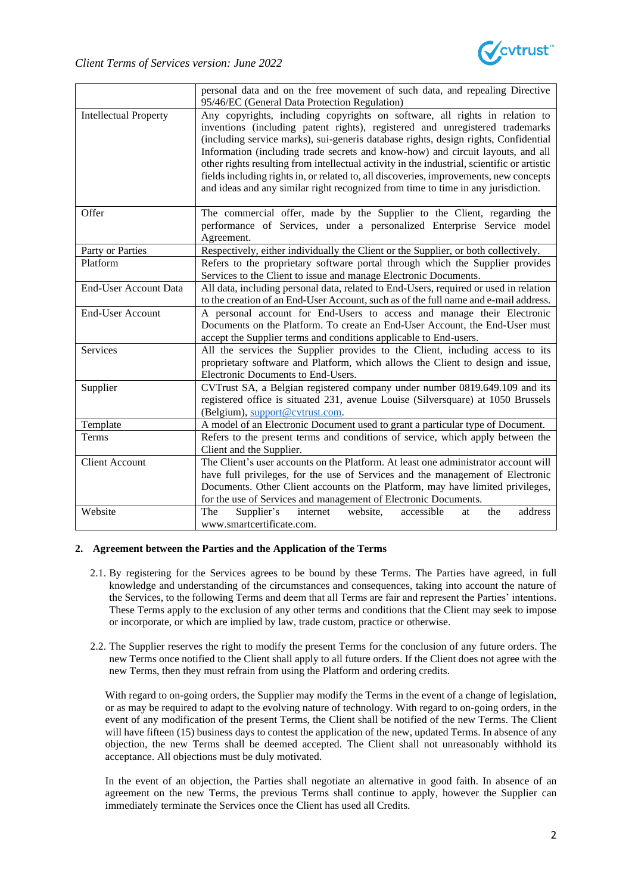

|                              | personal data and on the free movement of such data, and repealing Directive                |  |  |  |  |  |
|------------------------------|---------------------------------------------------------------------------------------------|--|--|--|--|--|
|                              | 95/46/EC (General Data Protection Regulation)                                               |  |  |  |  |  |
| <b>Intellectual Property</b> | Any copyrights, including copyrights on software, all rights in relation to                 |  |  |  |  |  |
|                              | inventions (including patent rights), registered and unregistered trademarks                |  |  |  |  |  |
|                              | (including service marks), sui-generis database rights, design rights, Confidential         |  |  |  |  |  |
|                              | Information (including trade secrets and know-how) and circuit layouts, and all             |  |  |  |  |  |
|                              | other rights resulting from intellectual activity in the industrial, scientific or artistic |  |  |  |  |  |
|                              | fields including rights in, or related to, all discoveries, improvements, new concepts      |  |  |  |  |  |
|                              | and ideas and any similar right recognized from time to time in any jurisdiction.           |  |  |  |  |  |
|                              |                                                                                             |  |  |  |  |  |
| Offer                        | The commercial offer, made by the Supplier to the Client, regarding the                     |  |  |  |  |  |
|                              | performance of Services, under a personalized Enterprise Service model                      |  |  |  |  |  |
|                              | Agreement.                                                                                  |  |  |  |  |  |
| Party or Parties             | Respectively, either individually the Client or the Supplier, or both collectively.         |  |  |  |  |  |
| Platform                     | Refers to the proprietary software portal through which the Supplier provides               |  |  |  |  |  |
|                              | Services to the Client to issue and manage Electronic Documents.                            |  |  |  |  |  |
| End-User Account Data        | All data, including personal data, related to End-Users, required or used in relation       |  |  |  |  |  |
|                              | to the creation of an End-User Account, such as of the full name and e-mail address.        |  |  |  |  |  |
| <b>End-User Account</b>      | A personal account for End-Users to access and manage their Electronic                      |  |  |  |  |  |
|                              | Documents on the Platform. To create an End-User Account, the End-User must                 |  |  |  |  |  |
|                              | accept the Supplier terms and conditions applicable to End-users.                           |  |  |  |  |  |
| <b>Services</b>              | All the services the Supplier provides to the Client, including access to its               |  |  |  |  |  |
|                              | proprietary software and Platform, which allows the Client to design and issue,             |  |  |  |  |  |
|                              | Electronic Documents to End-Users.                                                          |  |  |  |  |  |
| Supplier                     | CVTrust SA, a Belgian registered company under number 0819.649.109 and its                  |  |  |  |  |  |
|                              | registered office is situated 231, avenue Louise (Silversquare) at 1050 Brussels            |  |  |  |  |  |
|                              | (Belgium), support@cvtrust.com.                                                             |  |  |  |  |  |
| Template                     | A model of an Electronic Document used to grant a particular type of Document.              |  |  |  |  |  |
| Terms                        | Refers to the present terms and conditions of service, which apply between the              |  |  |  |  |  |
|                              | Client and the Supplier.                                                                    |  |  |  |  |  |
| <b>Client Account</b>        | The Client's user accounts on the Platform. At least one administrator account will         |  |  |  |  |  |
|                              | have full privileges, for the use of Services and the management of Electronic              |  |  |  |  |  |
|                              | Documents. Other Client accounts on the Platform, may have limited privileges,              |  |  |  |  |  |
|                              | for the use of Services and management of Electronic Documents.                             |  |  |  |  |  |
| Website                      | Supplier's<br>address<br>The<br>internet<br>website,<br>accessible<br>the<br>at             |  |  |  |  |  |
|                              | www.smartcertificate.com.                                                                   |  |  |  |  |  |

### **2. Agreement between the Parties and the Application of the Terms**

- 2.1. By registering for the Services agrees to be bound by these Terms. The Parties have agreed, in full knowledge and understanding of the circumstances and consequences, taking into account the nature of the Services, to the following Terms and deem that all Terms are fair and represent the Parties' intentions. These Terms apply to the exclusion of any other terms and conditions that the Client may seek to impose or incorporate, or which are implied by law, trade custom, practice or otherwise.
- 2.2. The Supplier reserves the right to modify the present Terms for the conclusion of any future orders. The new Terms once notified to the Client shall apply to all future orders. If the Client does not agree with the new Terms, then they must refrain from using the Platform and ordering credits.

With regard to on-going orders, the Supplier may modify the Terms in the event of a change of legislation, or as may be required to adapt to the evolving nature of technology. With regard to on-going orders, in the event of any modification of the present Terms, the Client shall be notified of the new Terms. The Client will have fifteen (15) business days to contest the application of the new, updated Terms. In absence of any objection, the new Terms shall be deemed accepted. The Client shall not unreasonably withhold its acceptance. All objections must be duly motivated.

In the event of an objection, the Parties shall negotiate an alternative in good faith. In absence of an agreement on the new Terms, the previous Terms shall continue to apply, however the Supplier can immediately terminate the Services once the Client has used all Credits.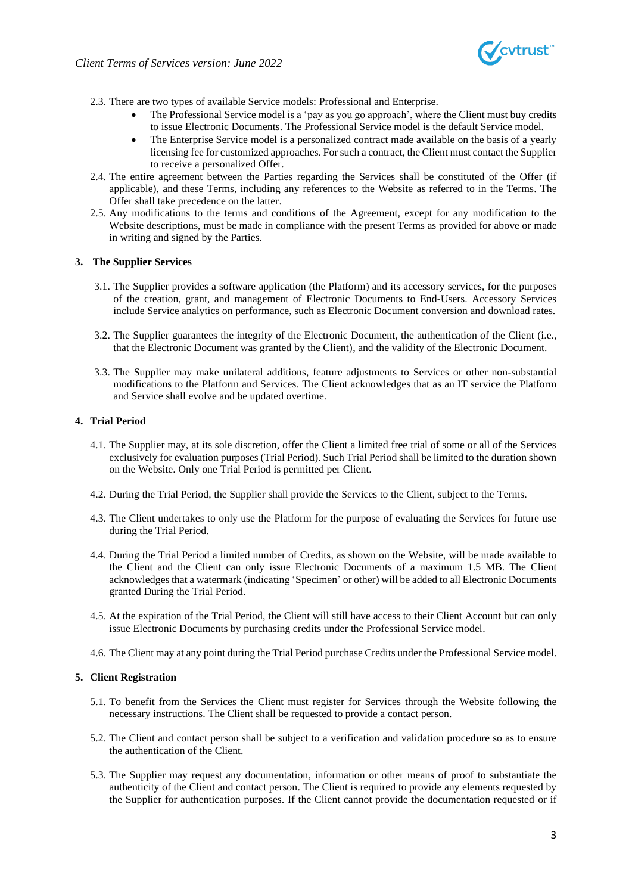

- 2.3. There are two types of available Service models: Professional and Enterprise.
	- The Professional Service model is a 'pay as you go approach', where the Client must buy credits to issue Electronic Documents. The Professional Service model is the default Service model.
	- The Enterprise Service model is a personalized contract made available on the basis of a yearly licensing fee for customized approaches. For such a contract, the Client must contact the Supplier to receive a personalized Offer.
- 2.4. The entire agreement between the Parties regarding the Services shall be constituted of the Offer (if applicable), and these Terms, including any references to the Website as referred to in the Terms. The Offer shall take precedence on the latter.
- 2.5. Any modifications to the terms and conditions of the Agreement, except for any modification to the Website descriptions, must be made in compliance with the present Terms as provided for above or made in writing and signed by the Parties.

### **3. The Supplier Services**

- 3.1. The Supplier provides a software application (the Platform) and its accessory services, for the purposes of the creation, grant, and management of Electronic Documents to End-Users. Accessory Services include Service analytics on performance, such as Electronic Document conversion and download rates.
- 3.2. The Supplier guarantees the integrity of the Electronic Document, the authentication of the Client (i.e., that the Electronic Document was granted by the Client), and the validity of the Electronic Document.
- 3.3. The Supplier may make unilateral additions, feature adjustments to Services or other non-substantial modifications to the Platform and Services. The Client acknowledges that as an IT service the Platform and Service shall evolve and be updated overtime.

### <span id="page-2-0"></span>**4. Trial Period**

- 4.1. The Supplier may, at its sole discretion, offer the Client a limited free trial of some or all of the Services exclusively for evaluation purposes (Trial Period). Such Trial Period shall be limited to the duration shown on the Website. Only one Trial Period is permitted per Client.
- 4.2. During the Trial Period, the Supplier shall provide the Services to the Client, subject to the Terms.
- 4.3. The Client undertakes to only use the Platform for the purpose of evaluating the Services for future use during the Trial Period.
- 4.4. During the Trial Period a limited number of Credits, as shown on the Website, will be made available to the Client and the Client can only issue Electronic Documents of a maximum 1.5 MB. The Client acknowledges that a watermark (indicating 'Specimen' or other) will be added to all Electronic Documents granted During the Trial Period.
- 4.5. At the expiration of the Trial Period, the Client will still have access to their Client Account but can only issue Electronic Documents by purchasing credits under the Professional Service model.
- 4.6. The Client may at any point during the Trial Period purchase Credits under the Professional Service model.

#### **5. Client Registration**

- 5.1. To benefit from the Services the Client must register for Services through the Website following the necessary instructions. The Client shall be requested to provide a contact person.
- 5.2. The Client and contact person shall be subject to a verification and validation procedure so as to ensure the authentication of the Client.
- 5.3. The Supplier may request any documentation, information or other means of proof to substantiate the authenticity of the Client and contact person. The Client is required to provide any elements requested by the Supplier for authentication purposes. If the Client cannot provide the documentation requested or if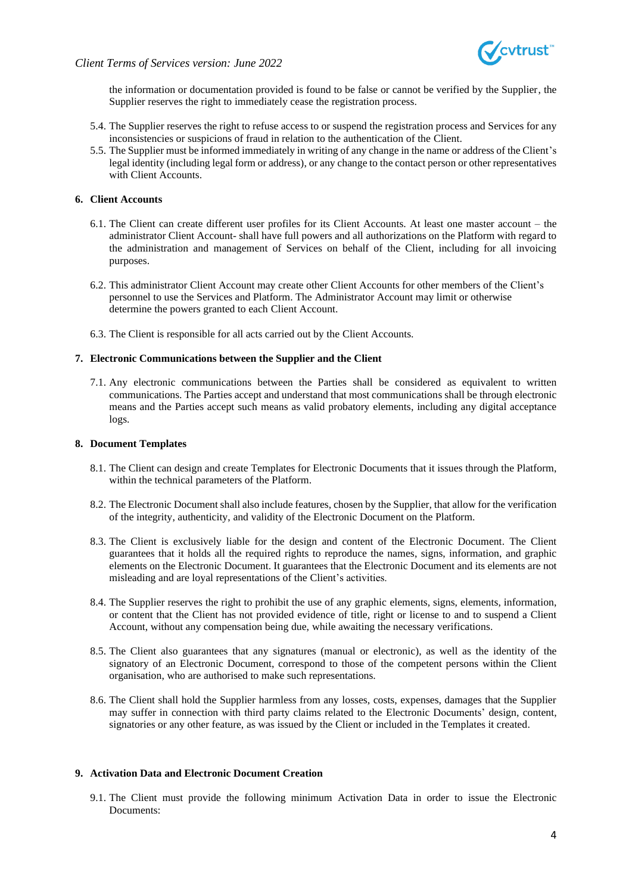



the information or documentation provided is found to be false or cannot be verified by the Supplier, the Supplier reserves the right to immediately cease the registration process.

- 5.4. The Supplier reserves the right to refuse access to or suspend the registration process and Services for any inconsistencies or suspicions of fraud in relation to the authentication of the Client.
- 5.5. The Supplier must be informed immediately in writing of any change in the name or address of the Client's legal identity (including legal form or address), or any change to the contact person or other representatives with Client Accounts.

### **6. Client Accounts**

- 6.1. The Client can create different user profiles for its Client Accounts. At least one master account the administrator Client Account- shall have full powers and all authorizations on the Platform with regard to the administration and management of Services on behalf of the Client, including for all invoicing purposes.
- 6.2. This administrator Client Account may create other Client Accounts for other members of the Client's personnel to use the Services and Platform. The Administrator Account may limit or otherwise determine the powers granted to each Client Account.
- 6.3. The Client is responsible for all acts carried out by the Client Accounts.

### **7. Electronic Communications between the Supplier and the Client**

7.1. Any electronic communications between the Parties shall be considered as equivalent to written communications. The Parties accept and understand that most communications shall be through electronic means and the Parties accept such means as valid probatory elements, including any digital acceptance logs.

#### **8. Document Templates**

- 8.1. The Client can design and create Templates for Electronic Documents that it issues through the Platform, within the technical parameters of the Platform.
- 8.2. The Electronic Document shall also include features, chosen by the Supplier, that allow for the verification of the integrity, authenticity, and validity of the Electronic Document on the Platform.
- 8.3. The Client is exclusively liable for the design and content of the Electronic Document. The Client guarantees that it holds all the required rights to reproduce the names, signs, information, and graphic elements on the Electronic Document. It guarantees that the Electronic Document and its elements are not misleading and are loyal representations of the Client's activities.
- 8.4. The Supplier reserves the right to prohibit the use of any graphic elements, signs, elements, information, or content that the Client has not provided evidence of title, right or license to and to suspend a Client Account, without any compensation being due, while awaiting the necessary verifications.
- 8.5. The Client also guarantees that any signatures (manual or electronic), as well as the identity of the signatory of an Electronic Document, correspond to those of the competent persons within the Client organisation, who are authorised to make such representations.
- 8.6. The Client shall hold the Supplier harmless from any losses, costs, expenses, damages that the Supplier may suffer in connection with third party claims related to the Electronic Documents' design, content, signatories or any other feature, as was issued by the Client or included in the Templates it created.

#### **9. Activation Data and Electronic Document Creation**

9.1. The Client must provide the following minimum Activation Data in order to issue the Electronic Documents: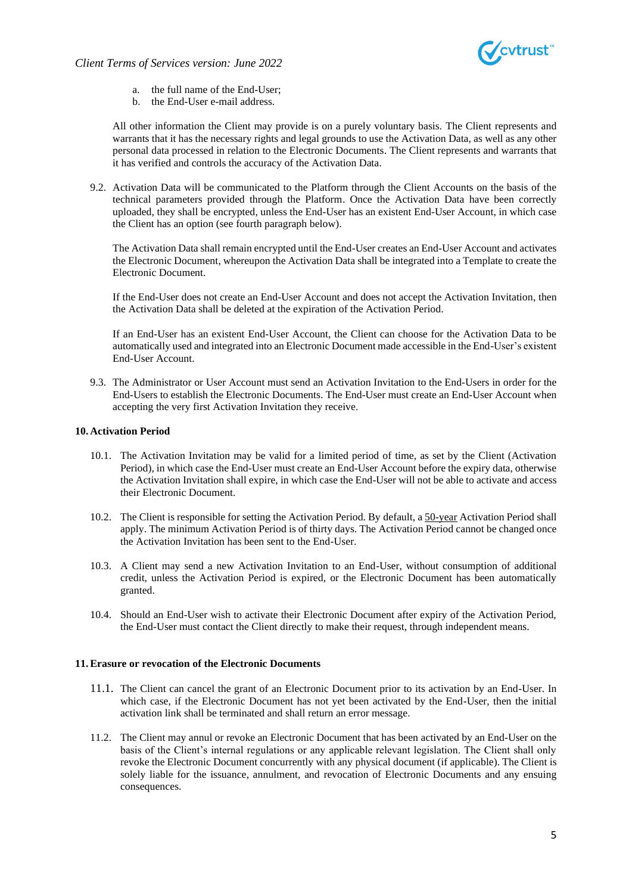

- a. the full name of the End-User;
- b. the End-User e-mail address.

All other information the Client may provide is on a purely voluntary basis. The Client represents and warrants that it has the necessary rights and legal grounds to use the Activation Data, as well as any other personal data processed in relation to the Electronic Documents. The Client represents and warrants that it has verified and controls the accuracy of the Activation Data.

9.2. Activation Data will be communicated to the Platform through the Client Accounts on the basis of the technical parameters provided through the Platform. Once the Activation Data have been correctly uploaded, they shall be encrypted, unless the End-User has an existent End-User Account, in which case the Client has an option (see fourth paragraph below).

The Activation Data shall remain encrypted until the End-User creates an End-User Account and activates the Electronic Document, whereupon the Activation Data shall be integrated into a Template to create the Electronic Document.

If the End-User does not create an End-User Account and does not accept the Activation Invitation, then the Activation Data shall be deleted at the expiration of the Activation Period.

If an End-User has an existent End-User Account, the Client can choose for the Activation Data to be automatically used and integrated into an Electronic Document made accessible in the End-User's existent End-User Account.

9.3. The Administrator or User Account must send an Activation Invitation to the End-Users in order for the End-Users to establish the Electronic Documents. The End-User must create an End-User Account when accepting the very first Activation Invitation they receive.

### **10. Activation Period**

- 10.1. The Activation Invitation may be valid for a limited period of time, as set by the Client (Activation Period), in which case the End-User must create an End-User Account before the expiry data, otherwise the Activation Invitation shall expire, in which case the End-User will not be able to activate and access their Electronic Document.
- 10.2. The Client is responsible for setting the Activation Period. By default, a 50-year Activation Period shall apply. The minimum Activation Period is of thirty days. The Activation Period cannot be changed once the Activation Invitation has been sent to the End-User.
- 10.3. A Client may send a new Activation Invitation to an End-User, without consumption of additional credit, unless the Activation Period is expired, or the Electronic Document has been automatically granted.
- 10.4. Should an End-User wish to activate their Electronic Document after expiry of the Activation Period, the End-User must contact the Client directly to make their request, through independent means.

#### **11.Erasure or revocation of the Electronic Documents**

- 11.1. The Client can cancel the grant of an Electronic Document prior to its activation by an End-User. In which case, if the Electronic Document has not yet been activated by the End-User, then the initial activation link shall be terminated and shall return an error message.
- 11.2. The Client may annul or revoke an Electronic Document that has been activated by an End-User on the basis of the Client's internal regulations or any applicable relevant legislation. The Client shall only revoke the Electronic Document concurrently with any physical document (if applicable). The Client is solely liable for the issuance, annulment, and revocation of Electronic Documents and any ensuing consequences.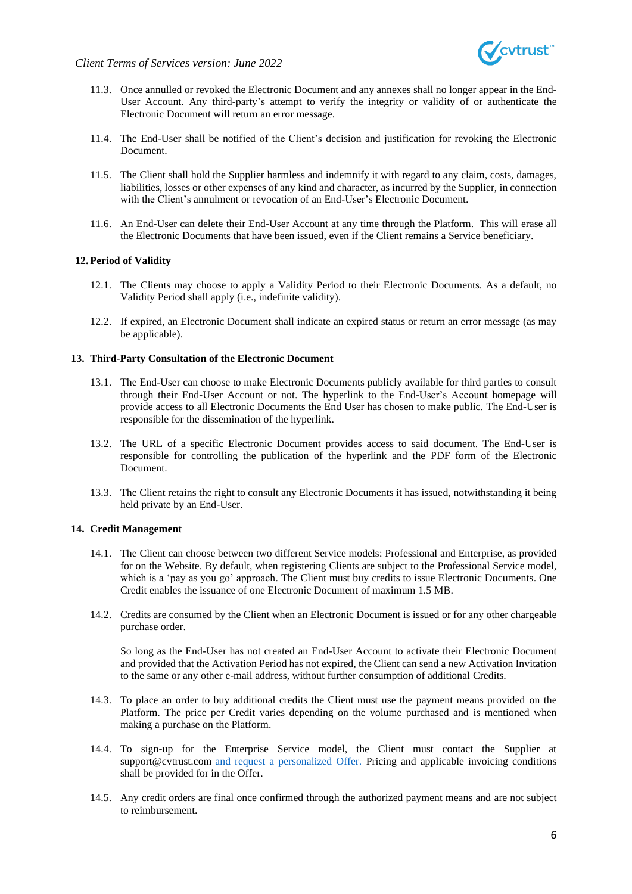

- 11.3. Once annulled or revoked the Electronic Document and any annexes shall no longer appear in the End-User Account. Any third-party's attempt to verify the integrity or validity of or authenticate the Electronic Document will return an error message.
- 11.4. The End-User shall be notified of the Client's decision and justification for revoking the Electronic Document.
- 11.5. The Client shall hold the Supplier harmless and indemnify it with regard to any claim, costs, damages, liabilities, losses or other expenses of any kind and character, as incurred by the Supplier, in connection with the Client's annulment or revocation of an End-User's Electronic Document.
- 11.6. An End-User can delete their End-User Account at any time through the Platform. This will erase all the Electronic Documents that have been issued, even if the Client remains a Service beneficiary.

### **12. Period of Validity**

- 12.1. The Clients may choose to apply a Validity Period to their Electronic Documents. As a default, no Validity Period shall apply (i.e., indefinite validity).
- 12.2. If expired, an Electronic Document shall indicate an expired status or return an error message (as may be applicable).

### **13. Third-Party Consultation of the Electronic Document**

- 13.1. The End-User can choose to make Electronic Documents publicly available for third parties to consult through their End-User Account or not. The hyperlink to the End-User's Account homepage will provide access to all Electronic Documents the End User has chosen to make public. The End-User is responsible for the dissemination of the hyperlink.
- 13.2. The URL of a specific Electronic Document provides access to said document. The End-User is responsible for controlling the publication of the hyperlink and the PDF form of the Electronic Document.
- 13.3. The Client retains the right to consult any Electronic Documents it has issued, notwithstanding it being held private by an End-User.

### **14. Credit Management**

- 14.1. The Client can choose between two different Service models: Professional and Enterprise, as provided for on the Website. By default, when registering Clients are subject to the Professional Service model, which is a 'pay as you go' approach. The Client must buy credits to issue Electronic Documents. One Credit enables the issuance of one Electronic Document of maximum 1.5 MB.
- 14.2. Credits are consumed by the Client when an Electronic Document is issued or for any other chargeable purchase order.

So long as the End-User has not created an End-User Account to activate their Electronic Document and provided that the Activation Period has not expired, the Client can send a new Activation Invitation to the same or any other e-mail address, without further consumption of additional Credits.

- 14.3. To place an order to buy additional credits the Client must use the payment means provided on the Platform. The price per Credit varies depending on the volume purchased and is mentioned when making a purchase on the Platform.
- 14.4. To sign-up for the Enterprise Service model, the Client must contact the Supplier at support@cvtrust.com and request a personalized Offer. Pricing and applicable invoicing conditions shall be provided for in the Offer.
- 14.5. Any credit orders are final once confirmed through the authorized payment means and are not subject to reimbursement.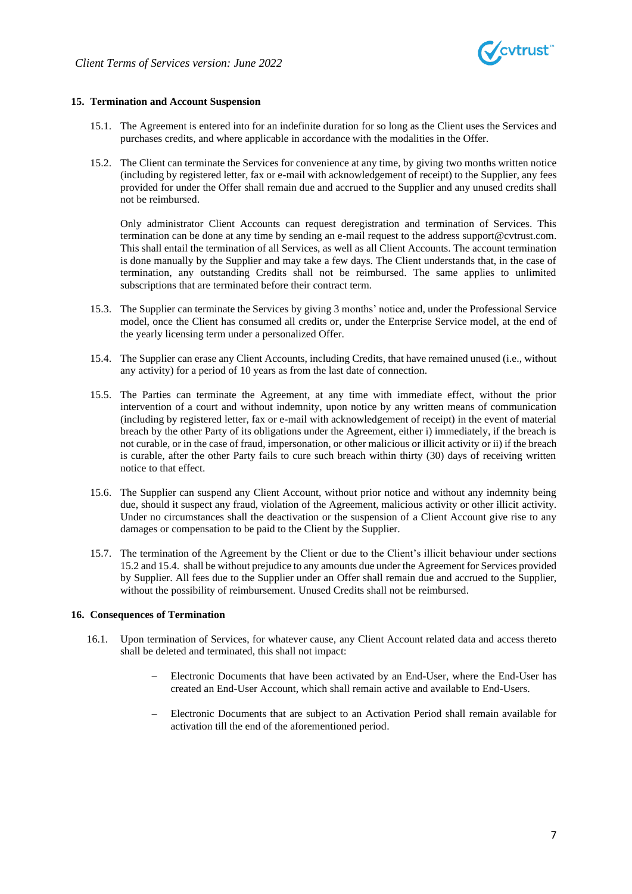

### **15. Termination and Account Suspension**

- 15.1. The Agreement is entered into for an indefinite duration for so long as the Client uses the Services and purchases credits, and where applicable in accordance with the modalities in the Offer.
- 15.2. The Client can terminate the Services for convenience at any time, by giving two months written notice (including by registered letter, fax or e-mail with acknowledgement of receipt) to the Supplier, any fees provided for under the Offer shall remain due and accrued to the Supplier and any unused credits shall not be reimbursed.

Only administrator Client Accounts can request deregistration and termination of Services. This termination can be done at any time by sending an e-mail request to the address suppor[t@cvtrust.com.](mailto:@cvtrust.com) This shall entail the termination of all Services, as well as all Client Accounts. The account termination is done manually by the Supplier and may take a few days. The Client understands that, in the case of termination, any outstanding Credits shall not be reimbursed. The same applies to unlimited subscriptions that are terminated before their contract term.

- 15.3. The Supplier can terminate the Services by giving 3 months' notice and, under the Professional Service model, once the Client has consumed all credits or, under the Enterprise Service model, at the end of the yearly licensing term under a personalized Offer.
- 15.4. The Supplier can erase any Client Accounts, including Credits, that have remained unused (i.e., without any activity) for a period of 10 years as from the last date of connection.
- 15.5. The Parties can terminate the Agreement, at any time with immediate effect, without the prior intervention of a court and without indemnity, upon notice by any written means of communication (including by registered letter, fax or e-mail with acknowledgement of receipt) in the event of material breach by the other Party of its obligations under the Agreement, either i) immediately, if the breach is not curable, or in the case of fraud, impersonation, or other malicious or illicit activity or ii) if the breach is curable, after the other Party fails to cure such breach within thirty (30) days of receiving written notice to that effect.
- 15.6. The Supplier can suspend any Client Account, without prior notice and without any indemnity being due, should it suspect any fraud, violation of the Agreement, malicious activity or other illicit activity. Under no circumstances shall the deactivation or the suspension of a Client Account give rise to any damages or compensation to be paid to the Client by the Supplier.
- 15.7. The termination of the Agreement by the Client or due to the Client's illicit behaviour under sections 15.2 and 15.4. shall be without prejudice to any amounts due under the Agreement for Services provided by Supplier. All fees due to the Supplier under an Offer shall remain due and accrued to the Supplier, without the possibility of reimbursement. Unused Credits shall not be reimbursed.

#### **16. Consequences of Termination**

- 16.1. Upon termination of Services, for whatever cause, any Client Account related data and access thereto shall be deleted and terminated, this shall not impact:
	- Electronic Documents that have been activated by an End-User, where the End-User has created an End-User Account, which shall remain active and available to End-Users.
	- − Electronic Documents that are subject to an Activation Period shall remain available for activation till the end of the aforementioned period.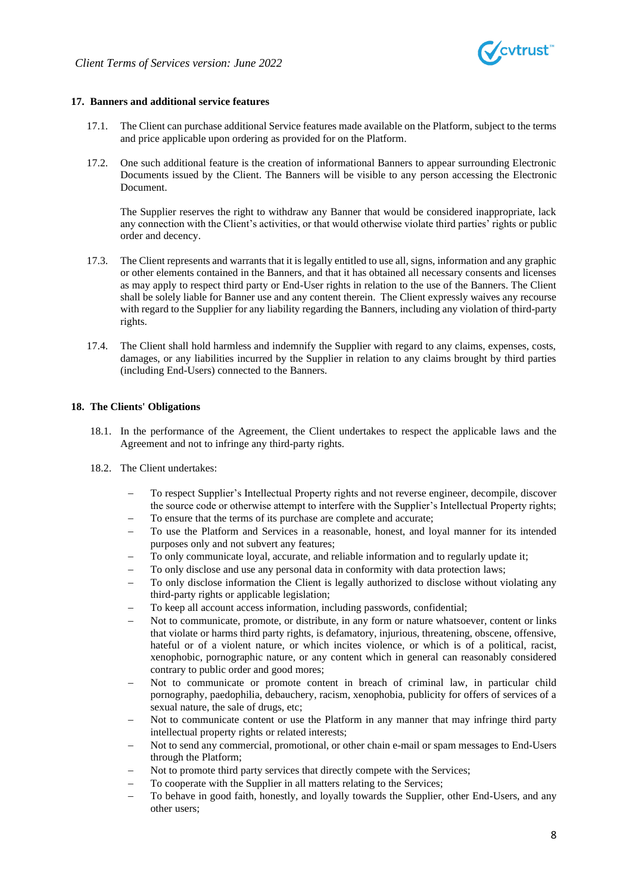

### **17. Banners and additional service features**

- 17.1. The Client can purchase additional Service features made available on the Platform, subject to the terms and price applicable upon ordering as provided for on the Platform.
- 17.2. One such additional feature is the creation of informational Banners to appear surrounding Electronic Documents issued by the Client. The Banners will be visible to any person accessing the Electronic Document.

The Supplier reserves the right to withdraw any Banner that would be considered inappropriate, lack any connection with the Client's activities, or that would otherwise violate third parties' rights or public order and decency.

- 17.3. The Client represents and warrants that it is legally entitled to use all, signs, information and any graphic or other elements contained in the Banners, and that it has obtained all necessary consents and licenses as may apply to respect third party or End-User rights in relation to the use of the Banners. The Client shall be solely liable for Banner use and any content therein. The Client expressly waives any recourse with regard to the Supplier for any liability regarding the Banners, including any violation of third-party rights.
- 17.4. The Client shall hold harmless and indemnify the Supplier with regard to any claims, expenses, costs, damages, or any liabilities incurred by the Supplier in relation to any claims brought by third parties (including End-Users) connected to the Banners.

### **18. The Clients' Obligations**

- 18.1. In the performance of the Agreement, the Client undertakes to respect the applicable laws and the Agreement and not to infringe any third-party rights.
- 18.2. The Client undertakes:
	- To respect Supplier's Intellectual Property rights and not reverse engineer, decompile, discover the source code or otherwise attempt to interfere with the Supplier's Intellectual Property rights;
	- To ensure that the terms of its purchase are complete and accurate;
	- To use the Platform and Services in a reasonable, honest, and loyal manner for its intended purposes only and not subvert any features;
	- To only communicate loyal, accurate, and reliable information and to regularly update it;
	- To only disclose and use any personal data in conformity with data protection laws;
	- To only disclose information the Client is legally authorized to disclose without violating any third-party rights or applicable legislation;
	- To keep all account access information, including passwords, confidential;
	- Not to communicate, promote, or distribute, in any form or nature whatsoever, content or links that violate or harms third party rights, is defamatory, injurious, threatening, obscene, offensive, hateful or of a violent nature, or which incites violence, or which is of a political, racist, xenophobic, pornographic nature, or any content which in general can reasonably considered contrary to public order and good mores;
	- − Not to communicate or promote content in breach of criminal law, in particular child pornography, paedophilia, debauchery, racism, xenophobia, publicity for offers of services of a sexual nature, the sale of drugs, etc;
	- Not to communicate content or use the Platform in any manner that may infringe third party intellectual property rights or related interests;
	- − Not to send any commercial, promotional, or other chain e-mail or spam messages to End-Users through the Platform;
	- Not to promote third party services that directly compete with the Services;
	- To cooperate with the Supplier in all matters relating to the Services;
	- To behave in good faith, honestly, and loyally towards the Supplier, other End-Users, and any other users;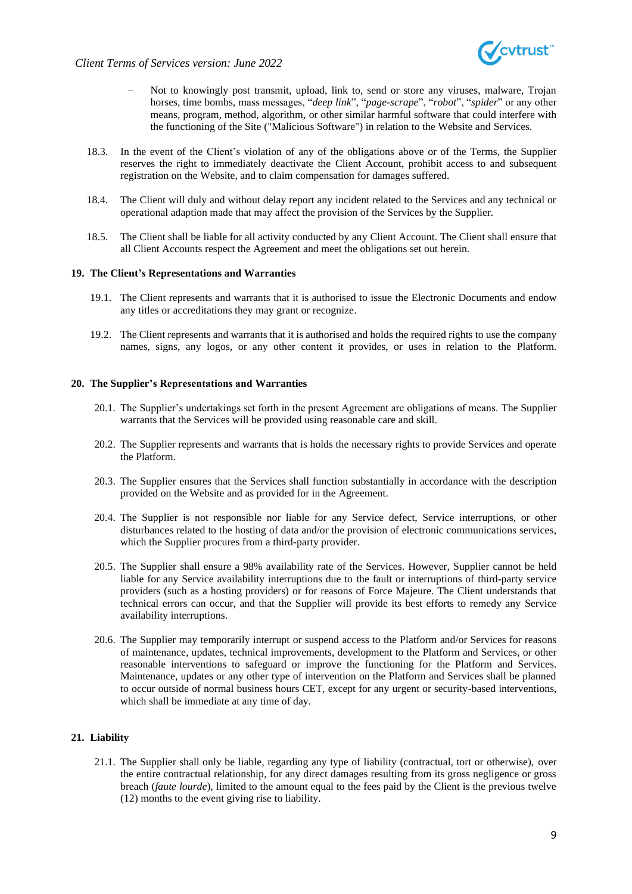



- Not to knowingly post transmit, upload, link to, send or store any viruses, malware, Trojan horses, time bombs, mass messages, "*deep link*", "*page-scrape*", "*robot*", "*spider*" or any other means, program, method, algorithm, or other similar harmful software that could interfere with the functioning of the Site ("Malicious Software") in relation to the Website and Services.
- 18.3. In the event of the Client's violation of any of the obligations above or of the Terms, the Supplier reserves the right to immediately deactivate the Client Account, prohibit access to and subsequent registration on the Website, and to claim compensation for damages suffered.
- 18.4. The Client will duly and without delay report any incident related to the Services and any technical or operational adaption made that may affect the provision of the Services by the Supplier.
- 18.5. The Client shall be liable for all activity conducted by any Client Account. The Client shall ensure that all Client Accounts respect the Agreement and meet the obligations set out herein.

#### **19. The Client's Representations and Warranties**

- 19.1. The Client represents and warrants that it is authorised to issue the Electronic Documents and endow any titles or accreditations they may grant or recognize.
- 19.2. The Client represents and warrants that it is authorised and holds the required rights to use the company names, signs, any logos, or any other content it provides, or uses in relation to the Platform.

#### **20. The Supplier's Representations and Warranties**

- 20.1. The Supplier's undertakings set forth in the present Agreement are obligations of means. The Supplier warrants that the Services will be provided using reasonable care and skill.
- 20.2. The Supplier represents and warrants that is holds the necessary rights to provide Services and operate the Platform.
- 20.3. The Supplier ensures that the Services shall function substantially in accordance with the description provided on the Website and as provided for in the Agreement.
- 20.4. The Supplier is not responsible nor liable for any Service defect, Service interruptions, or other disturbances related to the hosting of data and/or the provision of electronic communications services, which the Supplier procures from a third-party provider.
- 20.5. The Supplier shall ensure a 98% availability rate of the Services. However, Supplier cannot be held liable for any Service availability interruptions due to the fault or interruptions of third-party service providers (such as a hosting providers) or for reasons of Force Majeure. The Client understands that technical errors can occur, and that the Supplier will provide its best efforts to remedy any Service availability interruptions.
- 20.6. The Supplier may temporarily interrupt or suspend access to the Platform and/or Services for reasons of maintenance, updates, technical improvements, development to the Platform and Services, or other reasonable interventions to safeguard or improve the functioning for the Platform and Services. Maintenance, updates or any other type of intervention on the Platform and Services shall be planned to occur outside of normal business hours CET, except for any urgent or security-based interventions, which shall be immediate at any time of day.

### **21. Liability**

21.1. The Supplier shall only be liable, regarding any type of liability (contractual, tort or otherwise), over the entire contractual relationship, for any direct damages resulting from its gross negligence or gross breach (*faute lourde*), limited to the amount equal to the fees paid by the Client is the previous twelve (12) months to the event giving rise to liability.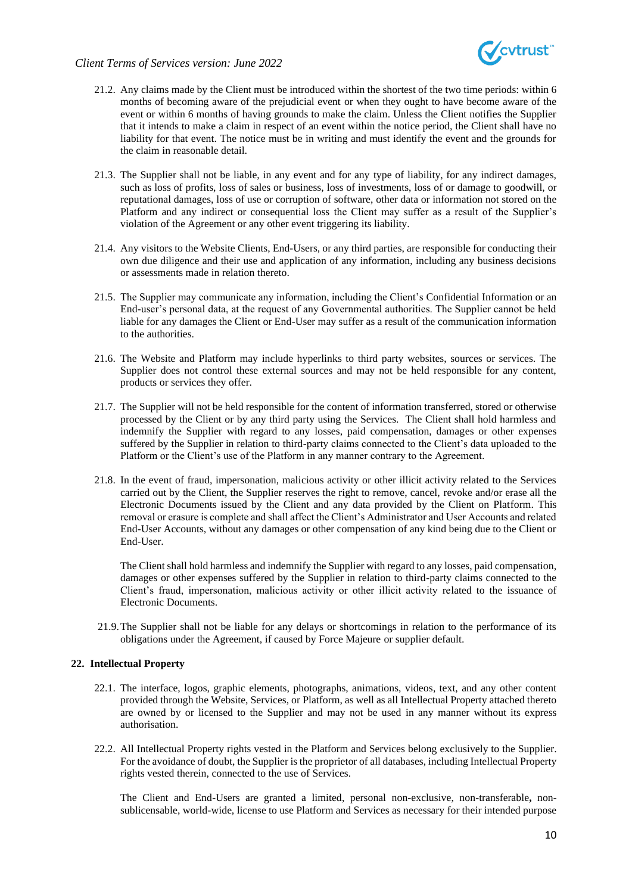

### *Client Terms of Services version: June 2022*

- 21.2. Any claims made by the Client must be introduced within the shortest of the two time periods: within 6 months of becoming aware of the prejudicial event or when they ought to have become aware of the event or within 6 months of having grounds to make the claim. Unless the Client notifies the Supplier that it intends to make a claim in respect of an event within the notice period, the Client shall have no liability for that event. The notice must be in writing and must identify the event and the grounds for the claim in reasonable detail.
- 21.3. The Supplier shall not be liable, in any event and for any type of liability, for any indirect damages, such as loss of profits, loss of sales or business, loss of investments, loss of or damage to goodwill, or reputational damages, loss of use or corruption of software, other data or information not stored on the Platform and any indirect or consequential loss the Client may suffer as a result of the Supplier's violation of the Agreement or any other event triggering its liability.
- 21.4. Any visitors to the Website Clients, End-Users, or any third parties, are responsible for conducting their own due diligence and their use and application of any information, including any business decisions or assessments made in relation thereto.
- 21.5. The Supplier may communicate any information, including the Client's Confidential Information or an End-user's personal data, at the request of any Governmental authorities. The Supplier cannot be held liable for any damages the Client or End-User may suffer as a result of the communication information to the authorities.
- 21.6. The Website and Platform may include hyperlinks to third party websites, sources or services. The Supplier does not control these external sources and may not be held responsible for any content, products or services they offer.
- 21.7. The Supplier will not be held responsible for the content of information transferred, stored or otherwise processed by the Client or by any third party using the Services. The Client shall hold harmless and indemnify the Supplier with regard to any losses, paid compensation, damages or other expenses suffered by the Supplier in relation to third-party claims connected to the Client's data uploaded to the Platform or the Client's use of the Platform in any manner contrary to the Agreement.
- 21.8. In the event of fraud, impersonation, malicious activity or other illicit activity related to the Services carried out by the Client, the Supplier reserves the right to remove, cancel, revoke and/or erase all the Electronic Documents issued by the Client and any data provided by the Client on Platform. This removal or erasure is complete and shall affect the Client's Administrator and User Accounts and related End-User Accounts, without any damages or other compensation of any kind being due to the Client or End-User.

The Client shall hold harmless and indemnify the Supplier with regard to any losses, paid compensation, damages or other expenses suffered by the Supplier in relation to third-party claims connected to the Client's fraud, impersonation, malicious activity or other illicit activity related to the issuance of Electronic Documents.

21.9.The Supplier shall not be liable for any delays or shortcomings in relation to the performance of its obligations under the Agreement, if caused by Force Majeure or supplier default.

#### **22. Intellectual Property**

- 22.1. The interface, logos, graphic elements, photographs, animations, videos, text, and any other content provided through the Website, Services, or Platform, as well as all Intellectual Property attached thereto are owned by or licensed to the Supplier and may not be used in any manner without its express authorisation.
- 22.2. All Intellectual Property rights vested in the Platform and Services belong exclusively to the Supplier. For the avoidance of doubt, the Supplier is the proprietor of all databases, including Intellectual Property rights vested therein, connected to the use of Services.

The Client and End-Users are granted a limited, personal non-exclusive, non-transferable**,** nonsublicensable, world-wide, license to use Platform and Services as necessary for their intended purpose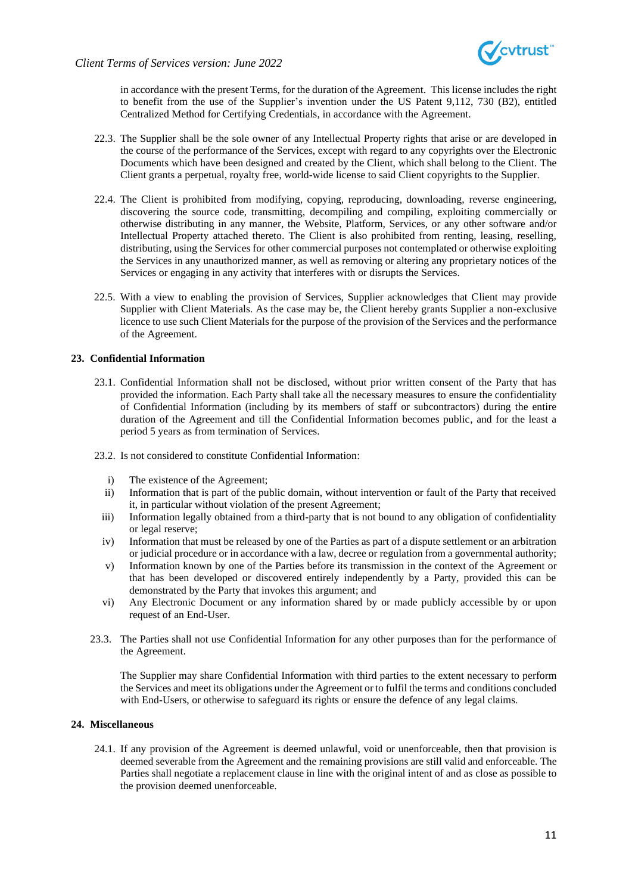in accordance with the present Terms, for the duration of the Agreement. This license includes the right to benefit from the use of the Supplier's invention under the US Patent 9,112, 730 (B2), entitled Centralized Method for Certifying Credentials, in accordance with the Agreement.

- 22.3. The Supplier shall be the sole owner of any Intellectual Property rights that arise or are developed in the course of the performance of the Services, except with regard to any copyrights over the Electronic Documents which have been designed and created by the Client, which shall belong to the Client. The Client grants a perpetual, royalty free, world-wide license to said Client copyrights to the Supplier.
- 22.4. The Client is prohibited from modifying, copying, reproducing, downloading, reverse engineering, discovering the source code, transmitting, decompiling and compiling, exploiting commercially or otherwise distributing in any manner, the Website, Platform, Services, or any other software and/or Intellectual Property attached thereto. The Client is also prohibited from renting, leasing, reselling, distributing, using the Services for other commercial purposes not contemplated or otherwise exploiting the Services in any unauthorized manner, as well as removing or altering any proprietary notices of the Services or engaging in any activity that interferes with or disrupts the Services.
- 22.5. With a view to enabling the provision of Services, Supplier acknowledges that Client may provide Supplier with Client Materials. As the case may be, the Client hereby grants Supplier a non-exclusive licence to use such Client Materials for the purpose of the provision of the Services and the performance of the Agreement.

### **23. Confidential Information**

- 23.1. Confidential Information shall not be disclosed, without prior written consent of the Party that has provided the information. Each Party shall take all the necessary measures to ensure the confidentiality of Confidential Information (including by its members of staff or subcontractors) during the entire duration of the Agreement and till the Confidential Information becomes public, and for the least a period 5 years as from termination of Services.
- 23.2. Is not considered to constitute Confidential Information:
	- i) The existence of the Agreement;
	- ii) Information that is part of the public domain, without intervention or fault of the Party that received it, in particular without violation of the present Agreement;
	- iii) Information legally obtained from a third-party that is not bound to any obligation of confidentiality or legal reserve;
	- iv) Information that must be released by one of the Parties as part of a dispute settlement or an arbitration or judicial procedure or in accordance with a law, decree or regulation from a governmental authority;
	- v) Information known by one of the Parties before its transmission in the context of the Agreement or that has been developed or discovered entirely independently by a Party, provided this can be demonstrated by the Party that invokes this argument; and
	- vi) Any Electronic Document or any information shared by or made publicly accessible by or upon request of an End-User.
- 23.3. The Parties shall not use Confidential Information for any other purposes than for the performance of the Agreement.

The Supplier may share Confidential Information with third parties to the extent necessary to perform the Services and meet its obligations under the Agreement or to fulfil the terms and conditions concluded with End-Users, or otherwise to safeguard its rights or ensure the defence of any legal claims.

### **24. Miscellaneous**

24.1. If any provision of the Agreement is deemed unlawful, void or unenforceable, then that provision is deemed severable from the Agreement and the remaining provisions are still valid and enforceable. The Parties shall negotiate a replacement clause in line with the original intent of and as close as possible to the provision deemed unenforceable.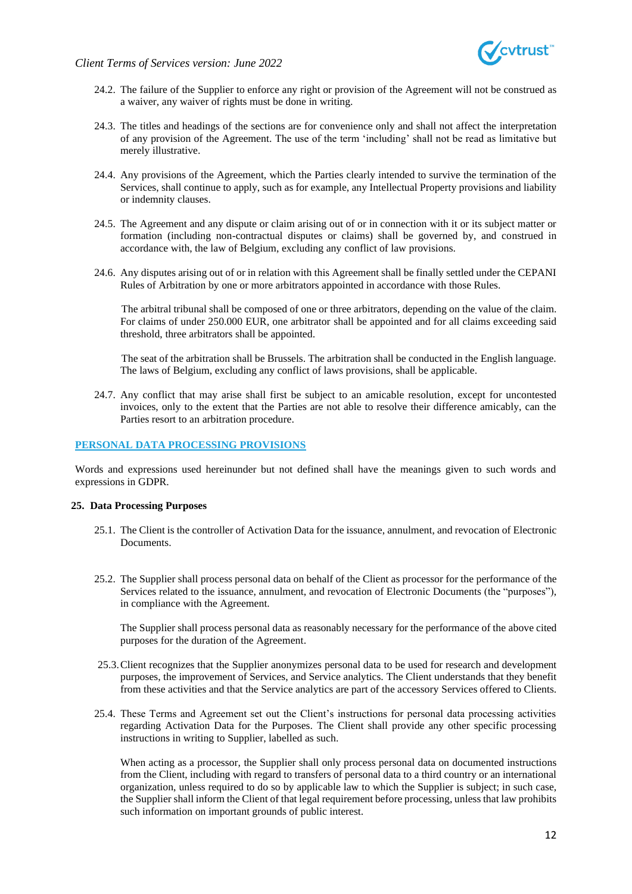

*Client Terms of Services version: June 2022*

- 24.2. The failure of the Supplier to enforce any right or provision of the Agreement will not be construed as a waiver, any waiver of rights must be done in writing.
- 24.3. The titles and headings of the sections are for convenience only and shall not affect the interpretation of any provision of the Agreement. The use of the term 'including' shall not be read as limitative but merely illustrative.
- 24.4. Any provisions of the Agreement, which the Parties clearly intended to survive the termination of the Services, shall continue to apply, such as for example, any Intellectual Property provisions and liability or indemnity clauses.
- 24.5. The Agreement and any dispute or claim arising out of or in connection with it or its subject matter or formation (including non-contractual disputes or claims) shall be governed by, and construed in accordance with, the law of Belgium, excluding any conflict of law provisions.
- 24.6. Any disputes arising out of or in relation with this Agreement shall be finally settled under the CEPANI Rules of Arbitration by one or more arbitrators appointed in accordance with those Rules.

The arbitral tribunal shall be composed of one or three arbitrators, depending on the value of the claim. For claims of under 250.000 EUR, one arbitrator shall be appointed and for all claims exceeding said threshold, three arbitrators shall be appointed.

The seat of the arbitration shall be Brussels. The arbitration shall be conducted in the English language. The laws of Belgium, excluding any conflict of laws provisions, shall be applicable.

24.7. Any conflict that may arise shall first be subject to an amicable resolution, except for uncontested invoices, only to the extent that the Parties are not able to resolve their difference amicably, can the Parties resort to an arbitration procedure.

### **PERSONAL DATA PROCESSING PROVISIONS**

Words and expressions used hereinunder but not defined shall have the meanings given to such words and expressions in GDPR.

#### **25. Data Processing Purposes**

- <span id="page-11-1"></span>25.1. The Client is the controller of Activation Data for the issuance, annulment, and revocation of Electronic **Documents**
- 25.2. The Supplier shall process personal data on behalf of the Client as processor for the performance of the Services related to the issuance, annulment, and revocation of Electronic Documents (the "purposes"), in compliance with the Agreement.

The Supplier shall process personal data as reasonably necessary for the performance of the above cited purposes for the duration of the Agreement.

- <span id="page-11-0"></span>25.3.Client recognizes that the Supplier anonymizes personal data to be used for research and development purposes, the improvement of Services, and Service analytics. The Client understands that they benefit from these activities and that the Service analytics are part of the accessory Services offered to Clients.
- 25.4. These Terms and Agreement set out the Client's instructions for personal data processing activities regarding Activation Data for the Purposes. The Client shall provide any other specific processing instructions in writing to Supplier, labelled as such.

When acting as a processor, the Supplier shall only process personal data on documented instructions from the Client, including with regard to transfers of personal data to a third country or an international organization, unless required to do so by applicable law to which the Supplier is subject; in such case, the Supplier shall inform the Client of that legal requirement before processing, unless that law prohibits such information on important grounds of public interest.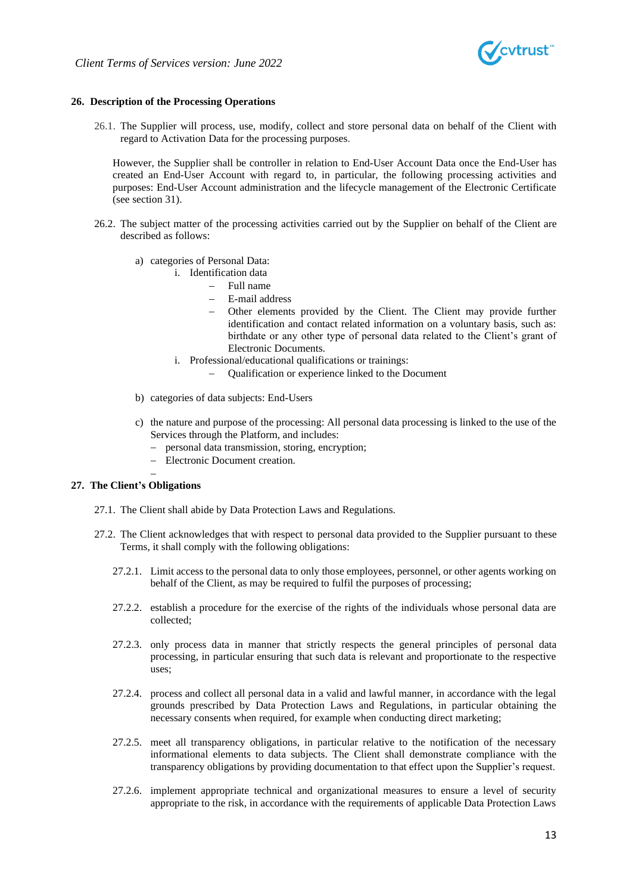

### **26. Description of the Processing Operations**

26.1. The Supplier will process, use, modify, collect and store personal data on behalf of the Client with regard to Activation Data for the processing purposes.

However, the Supplier shall be controller in relation to End-User Account Data once the End-User has created an End-User Account with regard to, in particular, the following processing activities and purposes: End-User Account administration and the lifecycle management of the Electronic Certificate (see sectio[n 31\)](#page-14-0).

- 26.2. The subject matter of the processing activities carried out by the Supplier on behalf of the Client are described as follows:
	- a) categories of Personal Data:
		- i. Identification data
			- − Full name
			- − E-mail address
			- − Other elements provided by the Client. The Client may provide further identification and contact related information on a voluntary basis, such as: birthdate or any other type of personal data related to the Client's grant of Electronic Documents.
		- i. Professional/educational qualifications or trainings:
			- − Qualification or experience linked to the Document
	- b) categories of data subjects: End-Users
	- c) the nature and purpose of the processing: All personal data processing is linked to the use of the Services through the Platform, and includes:
		- − personal data transmission, storing, encryption;
		- − Electronic Document creation.

#### **27. The Client's Obligations**

−

- 27.1. The Client shall abide by Data Protection Laws and Regulations.
- 27.2. The Client acknowledges that with respect to personal data provided to the Supplier pursuant to these Terms, it shall comply with the following obligations:
	- 27.2.1. Limit access to the personal data to only those employees, personnel, or other agents working on behalf of the Client, as may be required to fulfil the purposes of processing;
	- 27.2.2. establish a procedure for the exercise of the rights of the individuals whose personal data are collected;
	- 27.2.3. only process data in manner that strictly respects the general principles of personal data processing, in particular ensuring that such data is relevant and proportionate to the respective uses;
	- 27.2.4. process and collect all personal data in a valid and lawful manner, in accordance with the legal grounds prescribed by Data Protection Laws and Regulations, in particular obtaining the necessary consents when required, for example when conducting direct marketing;
	- 27.2.5. meet all transparency obligations, in particular relative to the notification of the necessary informational elements to data subjects. The Client shall demonstrate compliance with the transparency obligations by providing documentation to that effect upon the Supplier's request.
	- 27.2.6. implement appropriate technical and organizational measures to ensure a level of security appropriate to the risk, in accordance with the requirements of applicable Data Protection Laws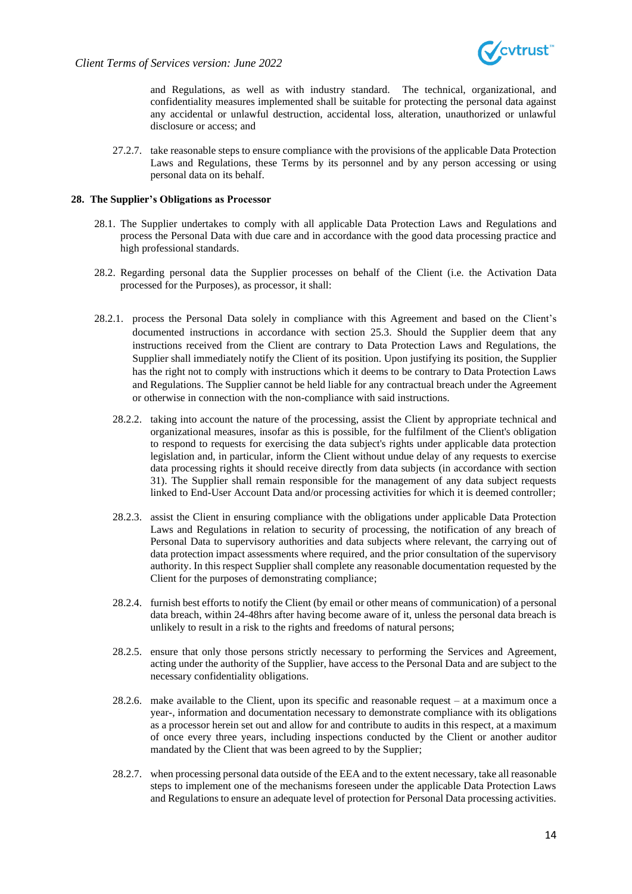

and Regulations, as well as with industry standard. The technical, organizational, and confidentiality measures implemented shall be suitable for protecting the personal data against any accidental or unlawful destruction, accidental loss, alteration, unauthorized or unlawful disclosure or access; and

27.2.7. take reasonable steps to ensure compliance with the provisions of the applicable Data Protection Laws and Regulations, these Terms by its personnel and by any person accessing or using personal data on its behalf.

#### **28. The Supplier's Obligations as Processor**

- 28.1. The Supplier undertakes to comply with all applicable Data Protection Laws and Regulations and process the Personal Data with due care and in accordance with the good data processing practice and high professional standards.
- 28.2. Regarding personal data the Supplier processes on behalf of the Client (i.e. the Activation Data processed for the Purposes), as processor, it shall:
- 28.2.1. process the Personal Data solely in compliance with this Agreement and based on the Client's documented instructions in accordance with section [25.3.](#page-11-0) Should the Supplier deem that any instructions received from the Client are contrary to Data Protection Laws and Regulations, the Supplier shall immediately notify the Client of its position. Upon justifying its position, the Supplier has the right not to comply with instructions which it deems to be contrary to Data Protection Laws and Regulations. The Supplier cannot be held liable for any contractual breach under the Agreement or otherwise in connection with the non-compliance with said instructions.
	- 28.2.2. taking into account the nature of the processing, assist the Client by appropriate technical and organizational measures, insofar as this is possible, for the fulfilment of the Client's obligation to respond to requests for exercising the data subject's rights under applicable data protection legislation and, in particular, inform the Client without undue delay of any requests to exercise data processing rights it should receive directly from data subjects (in accordance with section [31\)](#page-14-0). The Supplier shall remain responsible for the management of any data subject requests linked to End-User Account Data and/or processing activities for which it is deemed controller;
	- 28.2.3. assist the Client in ensuring compliance with the obligations under applicable Data Protection Laws and Regulations in relation to security of processing, the notification of any breach of Personal Data to supervisory authorities and data subjects where relevant, the carrying out of data protection impact assessments where required, and the prior consultation of the supervisory authority. In this respect Supplier shall complete any reasonable documentation requested by the Client for the purposes of demonstrating compliance;
	- 28.2.4. furnish best efforts to notify the Client (by email or other means of communication) of a personal data breach, within 24-48hrs after having become aware of it, unless the personal data breach is unlikely to result in a risk to the rights and freedoms of natural persons;
	- 28.2.5. ensure that only those persons strictly necessary to performing the Services and Agreement, acting under the authority of the Supplier, have access to the Personal Data and are subject to the necessary confidentiality obligations.
	- 28.2.6. make available to the Client, upon its specific and reasonable request at a maximum once a year-, information and documentation necessary to demonstrate compliance with its obligations as a processor herein set out and allow for and contribute to audits in this respect, at a maximum of once every three years, including inspections conducted by the Client or another auditor mandated by the Client that was been agreed to by the Supplier;
	- 28.2.7. when processing personal data outside of the EEA and to the extent necessary, take all reasonable steps to implement one of the mechanisms foreseen under the applicable Data Protection Laws and Regulations to ensure an adequate level of protection for Personal Data processing activities.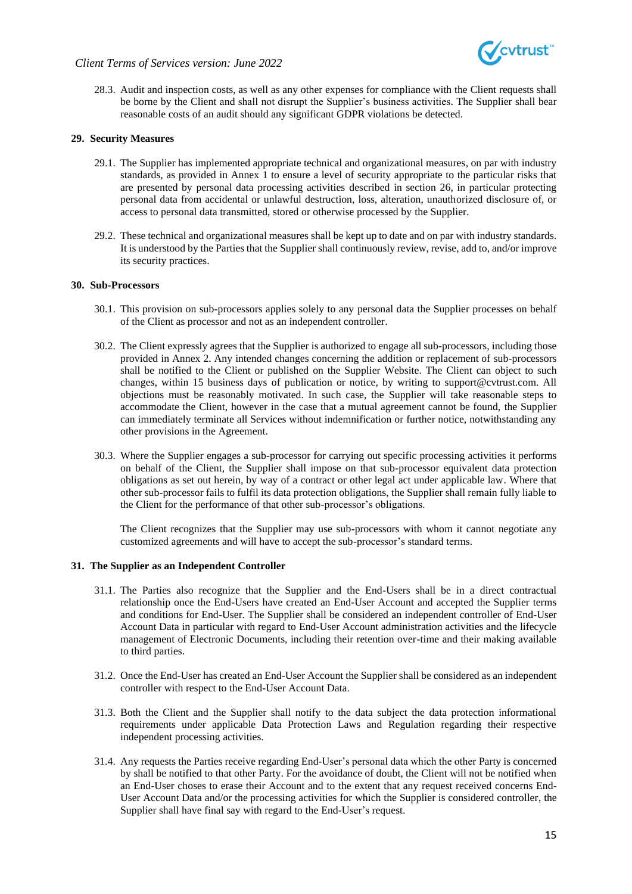

28.3. Audit and inspection costs, as well as any other expenses for compliance with the Client requests shall be borne by the Client and shall not disrupt the Supplier's business activities. The Supplier shall bear reasonable costs of an audit should any significant GDPR violations be detected.

### **29. Security Measures**

- 29.1. The Supplier has implemented appropriate technical and organizational measures, on par with industry standards, as provided in Annex 1 to ensure a level of security appropriate to the particular risks that are presented by personal data processing activities described in section 26, in particular protecting personal data from accidental or unlawful destruction, loss, alteration, unauthorized disclosure of, or access to personal data transmitted, stored or otherwise processed by the Supplier.
- 29.2. These technical and organizational measures shall be kept up to date and on par with industry standards. It is understood by the Parties that the Supplier shall continuously review, revise, add to, and/or improve its security practices.

### **30. Sub-Processors**

- 30.1. This provision on sub-processors applies solely to any personal data the Supplier processes on behalf of the Client as processor and not as an independent controller.
- 30.2. The Client expressly agrees that the Supplier is authorized to engage all sub-processors, including those provided in Annex 2. Any intended changes concerning the addition or replacement of sub-processors shall be notified to the Client or published on the Supplier Website. The Client can object to such changes, within 15 business days of publication or notice, by writing to support@cvtrust.com. All objections must be reasonably motivated. In such case, the Supplier will take reasonable steps to accommodate the Client, however in the case that a mutual agreement cannot be found, the Supplier can immediately terminate all Services without indemnification or further notice, notwithstanding any other provisions in the Agreement.
- 30.3. Where the Supplier engages a sub-processor for carrying out specific processing activities it performs on behalf of the Client, the Supplier shall impose on that sub-processor equivalent data protection obligations as set out herein, by way of a contract or other legal act under applicable law. Where that other sub-processor fails to fulfil its data protection obligations, the Supplier shall remain fully liable to the Client for the performance of that other sub-processor's obligations.

The Client recognizes that the Supplier may use sub-processors with whom it cannot negotiate any customized agreements and will have to accept the sub-processor's standard terms.

#### <span id="page-14-0"></span>**31. The Supplier as an Independent Controller**

- 31.1. The Parties also recognize that the Supplier and the End-Users shall be in a direct contractual relationship once the End-Users have created an End-User Account and accepted the Supplier terms and conditions for End-User. The Supplier shall be considered an independent controller of End-User Account Data in particular with regard to End-User Account administration activities and the lifecycle management of Electronic Documents, including their retention over-time and their making available to third parties.
- 31.2. Once the End-User has created an End-User Account the Supplier shall be considered as an independent controller with respect to the End-User Account Data.
- 31.3. Both the Client and the Supplier shall notify to the data subject the data protection informational requirements under applicable Data Protection Laws and Regulation regarding their respective independent processing activities.
- 31.4. Any requests the Parties receive regarding End-User's personal data which the other Party is concerned by shall be notified to that other Party. For the avoidance of doubt, the Client will not be notified when an End-User choses to erase their Account and to the extent that any request received concerns End-User Account Data and/or the processing activities for which the Supplier is considered controller, the Supplier shall have final say with regard to the End-User's request.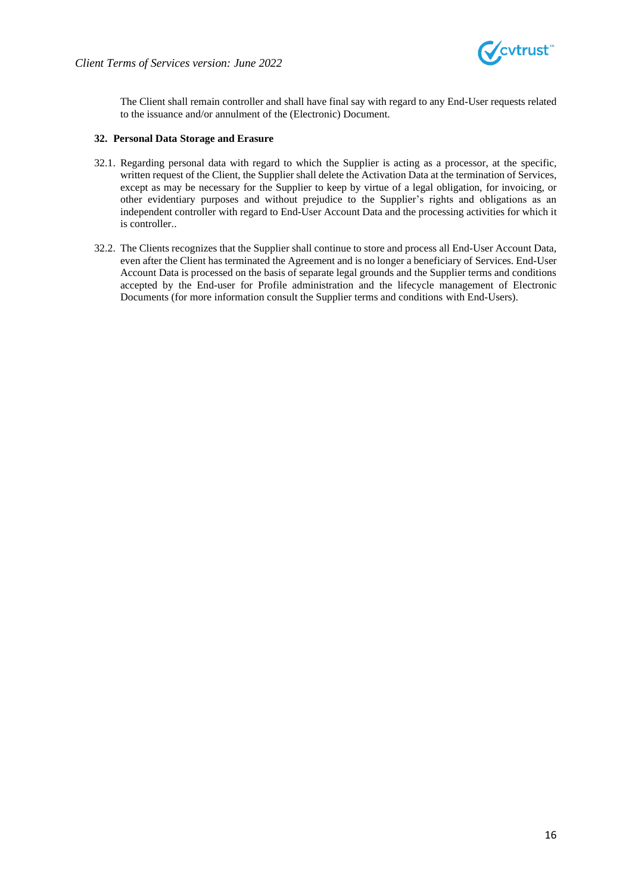

The Client shall remain controller and shall have final say with regard to any End-User requests related to the issuance and/or annulment of the (Electronic) Document.

### **32. Personal Data Storage and Erasure**

- 32.1. Regarding personal data with regard to which the Supplier is acting as a processor, at the specific, written request of the Client, the Supplier shall delete the Activation Data at the termination of Services, except as may be necessary for the Supplier to keep by virtue of a legal obligation, for invoicing, or other evidentiary purposes and without prejudice to the Supplier's rights and obligations as an independent controller with regard to End-User Account Data and the processing activities for which it is controller..
- 32.2. The Clients recognizes that the Supplier shall continue to store and process all End-User Account Data, even after the Client has terminated the Agreement and is no longer a beneficiary of Services. End-User Account Data is processed on the basis of separate legal grounds and the Supplier terms and conditions accepted by the End-user for Profile administration and the lifecycle management of Electronic Documents (for more information consult the Supplier terms and conditions with End-Users).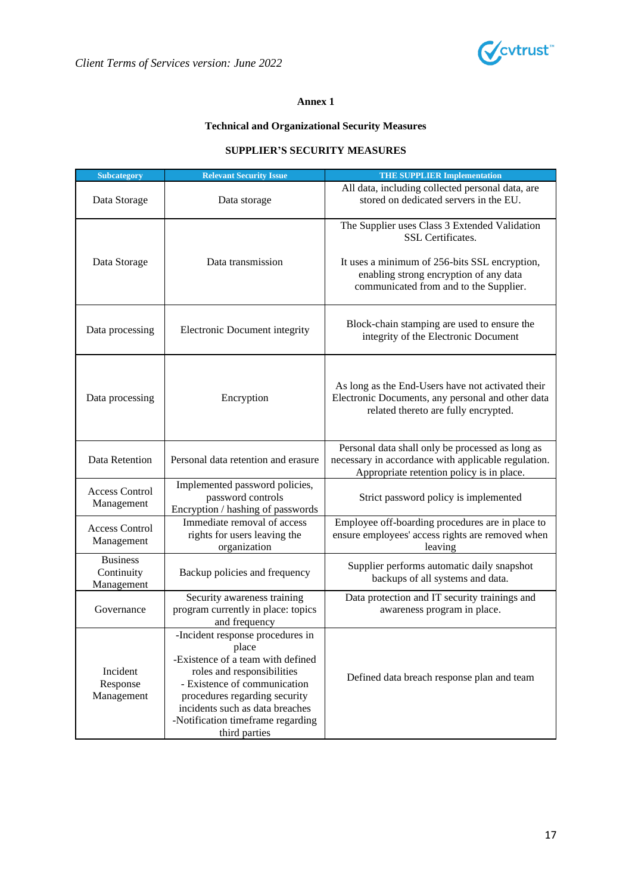

### **Annex 1**

## **Technical and Organizational Security Measures**

### **SUPPLIER'S SECURITY MEASURES**

| <b>Subcategory</b>                          | <b>Relevant Security Issue</b>                                                                                                                                                                                                                                         | <b>THE SUPPLIER Implementation</b>                                                                                                                                                                      |  |
|---------------------------------------------|------------------------------------------------------------------------------------------------------------------------------------------------------------------------------------------------------------------------------------------------------------------------|---------------------------------------------------------------------------------------------------------------------------------------------------------------------------------------------------------|--|
| Data Storage                                | Data storage                                                                                                                                                                                                                                                           | All data, including collected personal data, are<br>stored on dedicated servers in the EU.                                                                                                              |  |
| Data Storage                                | Data transmission                                                                                                                                                                                                                                                      | The Supplier uses Class 3 Extended Validation<br>SSL Certificates.<br>It uses a minimum of 256-bits SSL encryption,<br>enabling strong encryption of any data<br>communicated from and to the Supplier. |  |
| Data processing                             | Electronic Document integrity                                                                                                                                                                                                                                          | Block-chain stamping are used to ensure the<br>integrity of the Electronic Document                                                                                                                     |  |
| Data processing                             | Encryption                                                                                                                                                                                                                                                             | As long as the End-Users have not activated their<br>Electronic Documents, any personal and other data<br>related thereto are fully encrypted.                                                          |  |
| Data Retention                              | Personal data retention and erasure                                                                                                                                                                                                                                    | Personal data shall only be processed as long as<br>necessary in accordance with applicable regulation.<br>Appropriate retention policy is in place.                                                    |  |
| <b>Access Control</b><br>Management         | Implemented password policies,<br>password controls<br>Encryption / hashing of passwords                                                                                                                                                                               | Strict password policy is implemented                                                                                                                                                                   |  |
| <b>Access Control</b><br>Management         | Immediate removal of access<br>rights for users leaving the<br>organization                                                                                                                                                                                            | Employee off-boarding procedures are in place to<br>ensure employees' access rights are removed when<br>leaving                                                                                         |  |
| <b>Business</b><br>Continuity<br>Management | Backup policies and frequency                                                                                                                                                                                                                                          | Supplier performs automatic daily snapshot<br>backups of all systems and data.                                                                                                                          |  |
| Governance                                  | Security awareness training<br>program currently in place: topics<br>and frequency                                                                                                                                                                                     | Data protection and IT security trainings and<br>awareness program in place.                                                                                                                            |  |
| Incident<br>Response<br>Management          | -Incident response procedures in<br>place<br>-Existence of a team with defined<br>roles and responsibilities<br>- Existence of communication<br>procedures regarding security<br>incidents such as data breaches<br>-Notification timeframe regarding<br>third parties | Defined data breach response plan and team                                                                                                                                                              |  |